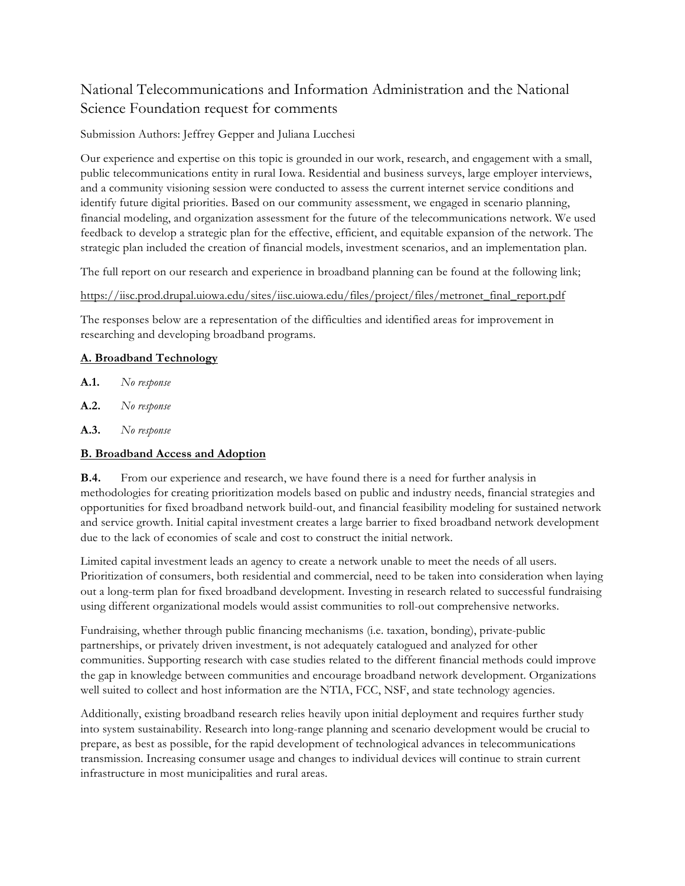# National Telecommunications and Information Administration and the National Science Foundation request for comments

#### Submission Authors: Jeffrey Gepper and Juliana Lucchesi

Our experience and expertise on this topic is grounded in our work, research, and engagement with a small, public telecommunications entity in rural Iowa. Residential and business surveys, large employer interviews, and a community visioning session were conducted to assess the current internet service conditions and identify future digital priorities. Based on our community assessment, we engaged in scenario planning, financial modeling, and organization assessment for the future of the telecommunications network. We used feedback to develop a strategic plan for the effective, efficient, and equitable expansion of the network. The strategic plan included the creation of financial models, investment scenarios, and an implementation plan.

The full report on our research and experience in broadband planning can be found at the following link;

#### https://iisc.prod.drupal.uiowa.edu/sites/iisc.uiowa.edu/files/project/files/metronet\_final\_report.pdf

The responses below are a representation of the difficulties and identified areas for improvement in researching and developing broadband programs.

#### **A. Broadband Technology**

- **A.1.** *No response*
- **A.2.** *No response*
- **A.3.** *No response*

# **B. Broadband Access and Adoption**

**B.4.** From our experience and research, we have found there is a need for further analysis in methodologies for creating prioritization models based on public and industry needs, financial strategies and opportunities for fixed broadband network build-out, and financial feasibility modeling for sustained network and service growth. Initial capital investment creates a large barrier to fixed broadband network development due to the lack of economies of scale and cost to construct the initial network.

Limited capital investment leads an agency to create a network unable to meet the needs of all users. Prioritization of consumers, both residential and commercial, need to be taken into consideration when laying out a long-term plan for fixed broadband development. Investing in research related to successful fundraising using different organizational models would assist communities to roll-out comprehensive networks.

Fundraising, whether through public financing mechanisms (i.e. taxation, bonding), private-public partnerships, or privately driven investment, is not adequately catalogued and analyzed for other communities. Supporting research with case studies related to the different financial methods could improve the gap in knowledge between communities and encourage broadband network development. Organizations well suited to collect and host information are the NTIA, FCC, NSF, and state technology agencies.

Additionally, existing broadband research relies heavily upon initial deployment and requires further study into system sustainability. Research into long-range planning and scenario development would be crucial to prepare, as best as possible, for the rapid development of technological advances in telecommunications transmission. Increasing consumer usage and changes to individual devices will continue to strain current infrastructure in most municipalities and rural areas.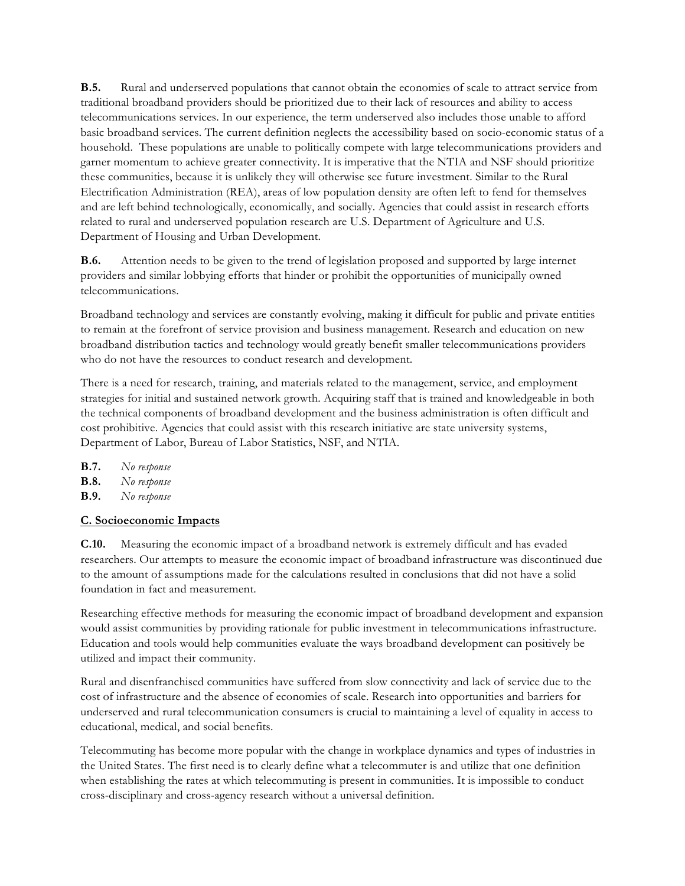**B.5.** Rural and underserved populations that cannot obtain the economies of scale to attract service from traditional broadband providers should be prioritized due to their lack of resources and ability to access telecommunications services. In our experience, the term underserved also includes those unable to afford basic broadband services. The current definition neglects the accessibility based on socio-economic status of a household. These populations are unable to politically compete with large telecommunications providers and garner momentum to achieve greater connectivity. It is imperative that the NTIA and NSF should prioritize these communities, because it is unlikely they will otherwise see future investment. Similar to the Rural Electrification Administration (REA), areas of low population density are often left to fend for themselves and are left behind technologically, economically, and socially. Agencies that could assist in research efforts related to rural and underserved population research are U.S. Department of Agriculture and U.S. Department of Housing and Urban Development.

**B.6.** Attention needs to be given to the trend of legislation proposed and supported by large internet providers and similar lobbying efforts that hinder or prohibit the opportunities of municipally owned telecommunications.

Broadband technology and services are constantly evolving, making it difficult for public and private entities to remain at the forefront of service provision and business management. Research and education on new broadband distribution tactics and technology would greatly benefit smaller telecommunications providers who do not have the resources to conduct research and development.

There is a need for research, training, and materials related to the management, service, and employment strategies for initial and sustained network growth. Acquiring staff that is trained and knowledgeable in both the technical components of broadband development and the business administration is often difficult and cost prohibitive. Agencies that could assist with this research initiative are state university systems, Department of Labor, Bureau of Labor Statistics, NSF, and NTIA.

- **B.7.** *No response*
- **B.8.** *No response*
- **B.9.** *No response*

# **C. Socioeconomic Impacts**

**C.10.** Measuring the economic impact of a broadband network is extremely difficult and has evaded researchers. Our attempts to measure the economic impact of broadband infrastructure was discontinued due to the amount of assumptions made for the calculations resulted in conclusions that did not have a solid foundation in fact and measurement.

Researching effective methods for measuring the economic impact of broadband development and expansion would assist communities by providing rationale for public investment in telecommunications infrastructure. Education and tools would help communities evaluate the ways broadband development can positively be utilized and impact their community.

Rural and disenfranchised communities have suffered from slow connectivity and lack of service due to the cost of infrastructure and the absence of economies of scale. Research into opportunities and barriers for underserved and rural telecommunication consumers is crucial to maintaining a level of equality in access to educational, medical, and social benefits.

Telecommuting has become more popular with the change in workplace dynamics and types of industries in the United States. The first need is to clearly define what a telecommuter is and utilize that one definition when establishing the rates at which telecommuting is present in communities. It is impossible to conduct cross-disciplinary and cross-agency research without a universal definition.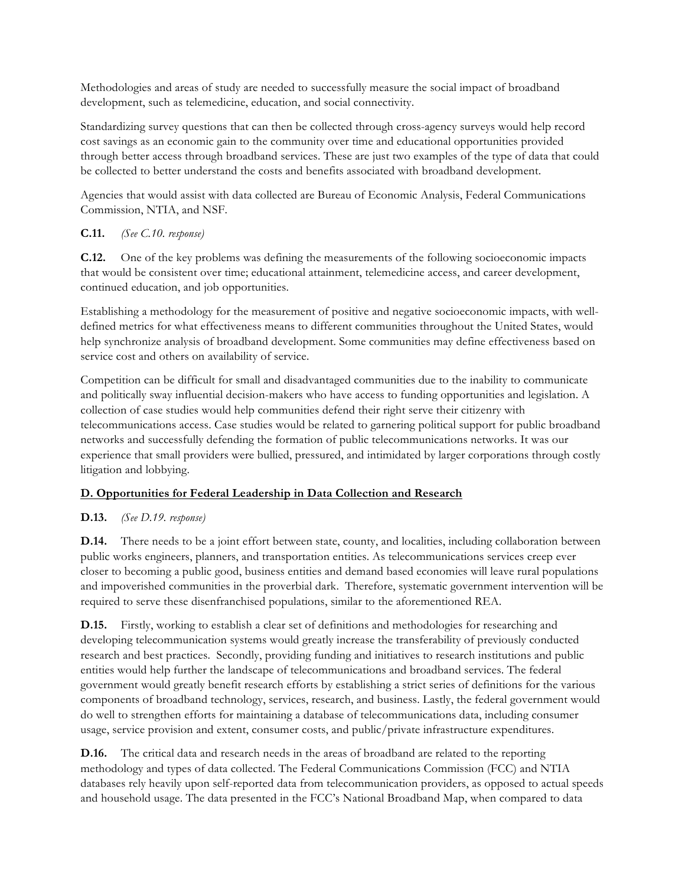Methodologies and areas of study are needed to successfully measure the social impact of broadband development, such as telemedicine, education, and social connectivity.

Standardizing survey questions that can then be collected through cross-agency surveys would help record cost savings as an economic gain to the community over time and educational opportunities provided through better access through broadband services. These are just two examples of the type of data that could be collected to better understand the costs and benefits associated with broadband development.

Agencies that would assist with data collected are Bureau of Economic Analysis, Federal Communications Commission, NTIA, and NSF.

# **C.11.** *(See C.10. response)*

**C.12.** One of the key problems was defining the measurements of the following socioeconomic impacts that would be consistent over time; educational attainment, telemedicine access, and career development, continued education, and job opportunities.

Establishing a methodology for the measurement of positive and negative socioeconomic impacts, with welldefined metrics for what effectiveness means to different communities throughout the United States, would help synchronize analysis of broadband development. Some communities may define effectiveness based on service cost and others on availability of service.

Competition can be difficult for small and disadvantaged communities due to the inability to communicate and politically sway influential decision-makers who have access to funding opportunities and legislation. A collection of case studies would help communities defend their right serve their citizenry with telecommunications access. Case studies would be related to garnering political support for public broadband networks and successfully defending the formation of public telecommunications networks. It was our experience that small providers were bullied, pressured, and intimidated by larger corporations through costly litigation and lobbying.

# **D. Opportunities for Federal Leadership in Data Collection and Research**

# **D.13.** *(See D.19. response)*

**D.14.** There needs to be a joint effort between state, county, and localities, including collaboration between public works engineers, planners, and transportation entities. As telecommunications services creep ever closer to becoming a public good, business entities and demand based economies will leave rural populations and impoverished communities in the proverbial dark. Therefore, systematic government intervention will be required to serve these disenfranchised populations, similar to the aforementioned REA.

**D.15.** Firstly, working to establish a clear set of definitions and methodologies for researching and developing telecommunication systems would greatly increase the transferability of previously conducted research and best practices. Secondly, providing funding and initiatives to research institutions and public entities would help further the landscape of telecommunications and broadband services. The federal government would greatly benefit research efforts by establishing a strict series of definitions for the various components of broadband technology, services, research, and business. Lastly, the federal government would do well to strengthen efforts for maintaining a database of telecommunications data, including consumer usage, service provision and extent, consumer costs, and public/private infrastructure expenditures.

**D.16.** The critical data and research needs in the areas of broadband are related to the reporting methodology and types of data collected. The Federal Communications Commission (FCC) and NTIA databases rely heavily upon self-reported data from telecommunication providers, as opposed to actual speeds and household usage. The data presented in the FCC's National Broadband Map, when compared to data